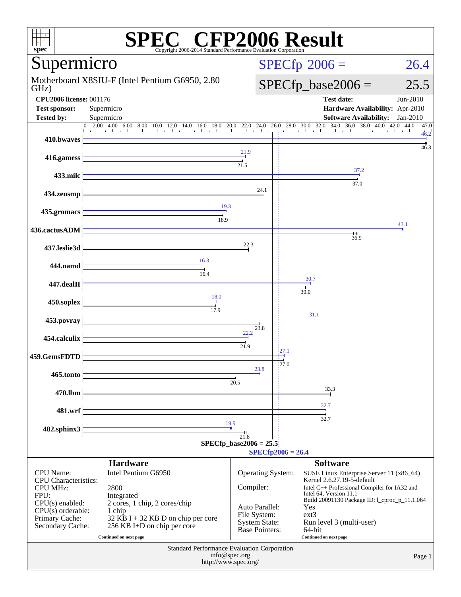| $spec^*$                                                                                                                                                                                                                                                                                                                                            | <b>SPEC<sup>®</sup></b> CFP2006 Result<br>Copyright 2006-2014 Standard Performance Evaluation Corporation                                                                                                                                                                                                                               |                                                                                       |                                                                                                                                                              |                                                                                                                                           |  |  |
|-----------------------------------------------------------------------------------------------------------------------------------------------------------------------------------------------------------------------------------------------------------------------------------------------------------------------------------------------------|-----------------------------------------------------------------------------------------------------------------------------------------------------------------------------------------------------------------------------------------------------------------------------------------------------------------------------------------|---------------------------------------------------------------------------------------|--------------------------------------------------------------------------------------------------------------------------------------------------------------|-------------------------------------------------------------------------------------------------------------------------------------------|--|--|
| Supermicro                                                                                                                                                                                                                                                                                                                                          |                                                                                                                                                                                                                                                                                                                                         |                                                                                       | $SPECfp^{\circ}2006 =$                                                                                                                                       | 26.4                                                                                                                                      |  |  |
| Motherboard X8SIU-F (Intel Pentium G6950, 2.80)<br>GHz)                                                                                                                                                                                                                                                                                             |                                                                                                                                                                                                                                                                                                                                         |                                                                                       | $SPECfp\_base2006 =$                                                                                                                                         | 25.5                                                                                                                                      |  |  |
| <b>CPU2006 license: 001176</b><br><b>Test sponsor:</b><br><b>Tested by:</b>                                                                                                                                                                                                                                                                         | Supermicro<br>Supermicro                                                                                                                                                                                                                                                                                                                |                                                                                       | <b>Test date:</b><br>Hardware Availability: Apr-2010<br><b>Software Availability:</b>                                                                        | $Jun-2010$<br>$Jan-2010$                                                                                                                  |  |  |
| 410.bwaves                                                                                                                                                                                                                                                                                                                                          | $2.00\quad 4.00\quad 6.00\quad 8.00\quad 10.0\quad 12.0\quad 14.0\quad 16.0\quad 18.0\quad 20.0\quad 22.0\quad 24.0\quad 26.0\quad 28.0\quad 30.0\quad 32.0\quad 34.0\quad 36.0\quad 38.0\quad 40.0\quad 42.0\quad 44.0\quad 10.0\quad 12.0\quad 14.0\quad 16.0\quad 18.0\quad 20.0\quad 22.0\quad 24.0\quad 26.0\quad 28.$<br>$\Omega$ |                                                                                       |                                                                                                                                                              | 47.0<br>46.2                                                                                                                              |  |  |
| 416.gamess                                                                                                                                                                                                                                                                                                                                          |                                                                                                                                                                                                                                                                                                                                         | 21.9                                                                                  |                                                                                                                                                              | 46.3                                                                                                                                      |  |  |
| 433.milc                                                                                                                                                                                                                                                                                                                                            |                                                                                                                                                                                                                                                                                                                                         | 21.5                                                                                  | 37.2<br>37.0                                                                                                                                                 |                                                                                                                                           |  |  |
| 434.zeusmp                                                                                                                                                                                                                                                                                                                                          |                                                                                                                                                                                                                                                                                                                                         | 24.1                                                                                  |                                                                                                                                                              |                                                                                                                                           |  |  |
| 435.gromacs                                                                                                                                                                                                                                                                                                                                         | 19.3<br>18.9                                                                                                                                                                                                                                                                                                                            |                                                                                       |                                                                                                                                                              |                                                                                                                                           |  |  |
| 436.cactusADM                                                                                                                                                                                                                                                                                                                                       |                                                                                                                                                                                                                                                                                                                                         |                                                                                       | 36.9                                                                                                                                                         | 43.1                                                                                                                                      |  |  |
| 437.leslie3d                                                                                                                                                                                                                                                                                                                                        |                                                                                                                                                                                                                                                                                                                                         | 22.3                                                                                  |                                                                                                                                                              |                                                                                                                                           |  |  |
| 444.namd                                                                                                                                                                                                                                                                                                                                            | 16.3<br>16.4                                                                                                                                                                                                                                                                                                                            |                                                                                       | 30.7                                                                                                                                                         |                                                                                                                                           |  |  |
| 447.dealII                                                                                                                                                                                                                                                                                                                                          | 18.0                                                                                                                                                                                                                                                                                                                                    |                                                                                       | 30.0                                                                                                                                                         |                                                                                                                                           |  |  |
| 450.soplex                                                                                                                                                                                                                                                                                                                                          | 17.9                                                                                                                                                                                                                                                                                                                                    |                                                                                       | 31.1                                                                                                                                                         |                                                                                                                                           |  |  |
| 453.povray                                                                                                                                                                                                                                                                                                                                          |                                                                                                                                                                                                                                                                                                                                         | 23.8<br>22.2                                                                          |                                                                                                                                                              |                                                                                                                                           |  |  |
| 454.calculix<br>459.GemsFDTD                                                                                                                                                                                                                                                                                                                        |                                                                                                                                                                                                                                                                                                                                         | 21.9                                                                                  | 27.1                                                                                                                                                         |                                                                                                                                           |  |  |
| 465.tonto                                                                                                                                                                                                                                                                                                                                           |                                                                                                                                                                                                                                                                                                                                         | 23.8                                                                                  | 27.U                                                                                                                                                         |                                                                                                                                           |  |  |
| 470.lbm                                                                                                                                                                                                                                                                                                                                             |                                                                                                                                                                                                                                                                                                                                         | 20.5                                                                                  | 33.3                                                                                                                                                         |                                                                                                                                           |  |  |
| 481.wrf                                                                                                                                                                                                                                                                                                                                             |                                                                                                                                                                                                                                                                                                                                         |                                                                                       | 32.7                                                                                                                                                         |                                                                                                                                           |  |  |
| 482.sphinx3                                                                                                                                                                                                                                                                                                                                         | 19.9                                                                                                                                                                                                                                                                                                                                    |                                                                                       | 32.7                                                                                                                                                         |                                                                                                                                           |  |  |
|                                                                                                                                                                                                                                                                                                                                                     |                                                                                                                                                                                                                                                                                                                                         | 21.8<br>$SPECfp\_base2006 = 25.5$                                                     | $SPECfp2006 = 26.4$                                                                                                                                          |                                                                                                                                           |  |  |
|                                                                                                                                                                                                                                                                                                                                                     | <b>Hardware</b>                                                                                                                                                                                                                                                                                                                         |                                                                                       | <b>Software</b>                                                                                                                                              |                                                                                                                                           |  |  |
| Intel Pentium G6950<br><b>CPU</b> Name:<br><b>CPU</b> Characteristics:<br>2800<br><b>CPU MHz:</b><br>FPU:<br>Integrated<br>$CPU(s)$ enabled:<br>2 cores, 1 chip, 2 cores/chip<br>$CPU(s)$ orderable:<br>1 chip<br>Primary Cache:<br>32 KB I + 32 KB D on chip per core<br>Secondary Cache:<br>256 KB I+D on chip per core<br>Continued on next page |                                                                                                                                                                                                                                                                                                                                         | Compiler:<br>Auto Parallel:<br>File System:<br><b>System State:</b><br>Base Pointers: | Operating System:<br>Kernel 2.6.27.19-5-default<br>Intel 64, Version 11.1<br>Yes<br>$ext{3}$<br>Run level 3 (multi-user)<br>64-bit<br>Continued on next page | SUSE Linux Enterprise Server 11 (x86_64)<br>Intel C++ Professional Compiler for IA32 and<br>Build 20091130 Package ID: 1_cproc_p_11.1.064 |  |  |
|                                                                                                                                                                                                                                                                                                                                                     | Standard Performance Evaluation Corporation<br>info@spec.org<br>http://www.spec.org/                                                                                                                                                                                                                                                    |                                                                                       |                                                                                                                                                              | Page 1                                                                                                                                    |  |  |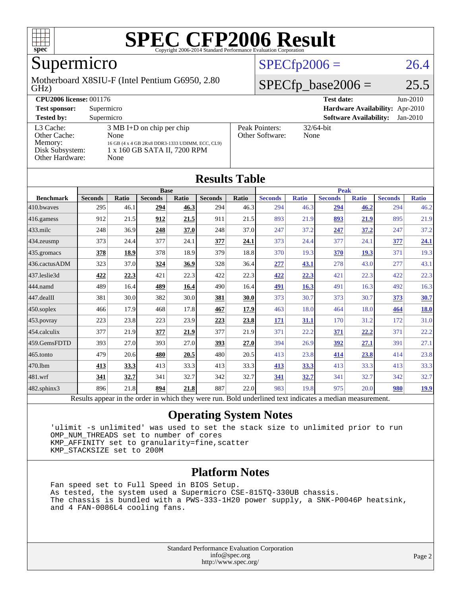

# Supermicro

#### GHz) Motherboard X8SIU-F (Intel Pentium G6950, 2.80

### $SPECfp2006 = 26.4$  $SPECfp2006 = 26.4$

### $SPECfp\_base2006 = 25.5$

| <b>CPU2006 license: 001176</b>                                             |                                                                                                                                        |                                   | <b>Test date:</b><br>$Jun-2010$             |
|----------------------------------------------------------------------------|----------------------------------------------------------------------------------------------------------------------------------------|-----------------------------------|---------------------------------------------|
| <b>Test sponsor:</b>                                                       | Supermicro                                                                                                                             |                                   | <b>Hardware Availability:</b> Apr-2010      |
| <b>Tested by:</b>                                                          | Supermicro                                                                                                                             |                                   | <b>Software Availability:</b><br>$Jan-2010$ |
| L3 Cache:<br>Other Cache:<br>Memory:<br>Disk Subsystem:<br>Other Hardware: | $3 \text{ MB I+D}$ on chip per chip<br>None<br>16 GB (4 x 4 GB 2Rx8 DDR3-1333 UDIMM, ECC, CL9)<br>1 x 160 GB SATA II, 7200 RPM<br>None | Peak Pointers:<br>Other Software: | $32/64$ -bit<br>None                        |

**[Results Table](http://www.spec.org/auto/cpu2006/Docs/result-fields.html#ResultsTable)**

| Results Table                                                                                            |                |              |                |       |                |       |                |              |                |              |                |              |
|----------------------------------------------------------------------------------------------------------|----------------|--------------|----------------|-------|----------------|-------|----------------|--------------|----------------|--------------|----------------|--------------|
|                                                                                                          | <b>Base</b>    |              |                |       | <b>Peak</b>    |       |                |              |                |              |                |              |
| <b>Benchmark</b>                                                                                         | <b>Seconds</b> | <b>Ratio</b> | <b>Seconds</b> | Ratio | <b>Seconds</b> | Ratio | <b>Seconds</b> | <b>Ratio</b> | <b>Seconds</b> | <b>Ratio</b> | <b>Seconds</b> | <b>Ratio</b> |
| 410.bwayes                                                                                               | 295            | 46.1         | 294            | 46.3  | 294            | 46.3  | 294            | 46.3         | 294            | 46.2         | 294            | 46.2         |
| 416.gamess                                                                                               | 912            | 21.5         | 912            | 21.5  | 911            | 21.5  | 893            | 21.9         | 893            | 21.9         | 895            | 21.9         |
| $433$ .milc                                                                                              | 248            | 36.9         | 248            | 37.0  | 248            | 37.0  | 247            | 37.2         | 247            | 37.2         | 247            | 37.2         |
| 434.zeusmp                                                                                               | 373            | 24.4         | 377            | 24.1  | 377            | 24.1  | 373            | 24.4         | 377            | 24.1         | 377            | 24.1         |
| 435.gromacs                                                                                              | 378            | 18.9         | 378            | 18.9  | 379            | 18.8  | 370            | 19.3         | 370            | 19.3         | 371            | 19.3         |
| 436.cactusADM                                                                                            | 323            | 37.0         | 324            | 36.9  | 328            | 36.4  | 277            | 43.1         | 278            | 43.0         | 277            | 43.1         |
| 437.leslie3d                                                                                             | 422            | 22.3         | 421            | 22.3  | 422            | 22.3  | 422            | 22.3         | 421            | 22.3         | 422            | 22.3         |
| 444.namd                                                                                                 | 489            | 16.4         | 489            | 16.4  | 490            | 16.4  | 491            | 16.3         | 491            | 16.3         | 492            | 16.3         |
| $447$ .dealII                                                                                            | 381            | 30.0         | 382            | 30.0  | 381            | 30.0  | 373            | 30.7         | 373            | 30.7         | 373            | 30.7         |
| $450$ .soplex                                                                                            | 466            | 17.9         | 468            | 17.8  | 467            | 17.9  | 463            | 18.0         | 464            | 18.0         | 464            | <b>18.0</b>  |
| 453.povray                                                                                               | 223            | 23.8         | 223            | 23.9  | 223            | 23.8  | <b>171</b>     | 31.1         | 170            | 31.2         | 172            | 31.0         |
| 454.calculix                                                                                             | 377            | 21.9         | 377            | 21.9  | 377            | 21.9  | 371            | 22.2         | 371            | 22.2         | 371            | 22.2         |
| 459.GemsFDTD                                                                                             | 393            | 27.0         | 393            | 27.0  | 393            | 27.0  | 394            | 26.9         | 392            | 27.1         | 391            | 27.1         |
| $465$ .tonto                                                                                             | 479            | 20.6         | 480            | 20.5  | 480            | 20.5  | 413            | 23.8         | 414            | 23.8         | 414            | 23.8         |
| 470.1bm                                                                                                  | 413            | 33.3         | 413            | 33.3  | 413            | 33.3  | 413            | 33.3         | 413            | 33.3         | 413            | 33.3         |
| 481.wrf                                                                                                  | 341            | 32.7         | 341            | 32.7  | 342            | 32.7  | <u>341</u>     | 32.7         | 341            | 32.7         | 342            | 32.7         |
| 482.sphinx3                                                                                              | 896            | 21.8         | 894            | 21.8  | 887            | 22.0  | 983            | 19.8         | 975            | 20.0         | 980            | <u>19.9</u>  |
| Results appear in the order in which they were run. Bold underlined text indicates a median measurement. |                |              |                |       |                |       |                |              |                |              |                |              |

#### **[Operating System Notes](http://www.spec.org/auto/cpu2006/Docs/result-fields.html#OperatingSystemNotes)**

 'ulimit -s unlimited' was used to set the stack size to unlimited prior to run OMP\_NUM\_THREADS set to number of cores KMP\_AFFINITY set to granularity=fine,scatter KMP\_STACKSIZE set to 200M

#### **[Platform Notes](http://www.spec.org/auto/cpu2006/Docs/result-fields.html#PlatformNotes)**

 Fan speed set to Full Speed in BIOS Setup. As tested, the system used a Supermicro CSE-815TQ-330UB chassis. The chassis is bundled with a PWS-333-1H20 power supply, a SNK-P0046P heatsink, and 4 FAN-0086L4 cooling fans.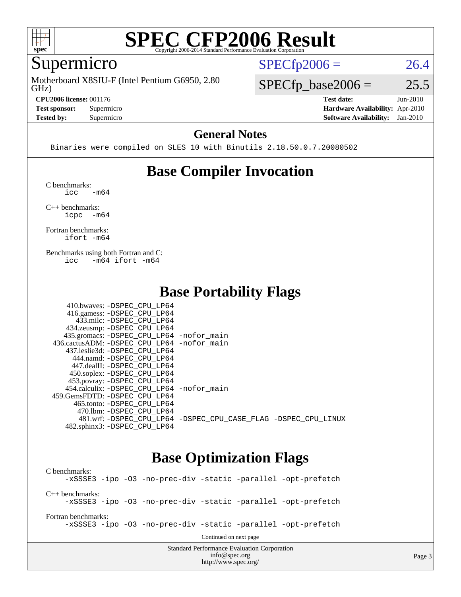

# Supermicro

GHz) Motherboard X8SIU-F (Intel Pentium G6950, 2.80

**[CPU2006 license:](http://www.spec.org/auto/cpu2006/Docs/result-fields.html#CPU2006license)** 001176 **[Test date:](http://www.spec.org/auto/cpu2006/Docs/result-fields.html#Testdate)** Jun-2010

**[Tested by:](http://www.spec.org/auto/cpu2006/Docs/result-fields.html#Testedby)** Supermicro **[Software Availability:](http://www.spec.org/auto/cpu2006/Docs/result-fields.html#SoftwareAvailability)** Jan-2010

 $SPECTp2006 = 26.4$ 

 $SPECfp\_base2006 = 25.5$ 

**[Test sponsor:](http://www.spec.org/auto/cpu2006/Docs/result-fields.html#Testsponsor)** Supermicro **[Hardware Availability:](http://www.spec.org/auto/cpu2006/Docs/result-fields.html#HardwareAvailability)** Apr-2010

#### **[General Notes](http://www.spec.org/auto/cpu2006/Docs/result-fields.html#GeneralNotes)**

Binaries were compiled on SLES 10 with Binutils 2.18.50.0.7.20080502

### **[Base Compiler Invocation](http://www.spec.org/auto/cpu2006/Docs/result-fields.html#BaseCompilerInvocation)**

[C benchmarks](http://www.spec.org/auto/cpu2006/Docs/result-fields.html#Cbenchmarks):  $\text{icc}$   $-\text{m64}$ 

[C++ benchmarks:](http://www.spec.org/auto/cpu2006/Docs/result-fields.html#CXXbenchmarks) [icpc -m64](http://www.spec.org/cpu2006/results/res2010q3/cpu2006-20100621-11876.flags.html#user_CXXbase_intel_icpc_64bit_bedb90c1146cab66620883ef4f41a67e)

[Fortran benchmarks](http://www.spec.org/auto/cpu2006/Docs/result-fields.html#Fortranbenchmarks): [ifort -m64](http://www.spec.org/cpu2006/results/res2010q3/cpu2006-20100621-11876.flags.html#user_FCbase_intel_ifort_64bit_ee9d0fb25645d0210d97eb0527dcc06e)

[Benchmarks using both Fortran and C](http://www.spec.org/auto/cpu2006/Docs/result-fields.html#BenchmarksusingbothFortranandC): [icc -m64](http://www.spec.org/cpu2006/results/res2010q3/cpu2006-20100621-11876.flags.html#user_CC_FCbase_intel_icc_64bit_0b7121f5ab7cfabee23d88897260401c) [ifort -m64](http://www.spec.org/cpu2006/results/res2010q3/cpu2006-20100621-11876.flags.html#user_CC_FCbase_intel_ifort_64bit_ee9d0fb25645d0210d97eb0527dcc06e)

### **[Base Portability Flags](http://www.spec.org/auto/cpu2006/Docs/result-fields.html#BasePortabilityFlags)**

| 410.bwaves: -DSPEC CPU LP64                |                                                                |
|--------------------------------------------|----------------------------------------------------------------|
| 416.gamess: -DSPEC_CPU_LP64                |                                                                |
| 433.milc: -DSPEC CPU LP64                  |                                                                |
| 434.zeusmp: -DSPEC_CPU_LP64                |                                                                |
| 435.gromacs: -DSPEC_CPU_LP64 -nofor_main   |                                                                |
| 436.cactusADM: -DSPEC_CPU_LP64 -nofor main |                                                                |
| 437.leslie3d: -DSPEC CPU LP64              |                                                                |
| 444.namd: -DSPEC CPU LP64                  |                                                                |
| 447.dealII: -DSPEC CPU LP64                |                                                                |
| 450.soplex: -DSPEC_CPU_LP64                |                                                                |
| 453.povray: -DSPEC_CPU_LP64                |                                                                |
| 454.calculix: -DSPEC CPU LP64 -nofor main  |                                                                |
| 459. GemsFDTD: - DSPEC CPU LP64            |                                                                |
| 465.tonto: - DSPEC CPU LP64                |                                                                |
| 470.1bm: - DSPEC CPU LP64                  |                                                                |
|                                            | 481.wrf: -DSPEC CPU_LP64 -DSPEC_CPU_CASE_FLAG -DSPEC_CPU_LINUX |
| 482.sphinx3: -DSPEC CPU LP64               |                                                                |

### **[Base Optimization Flags](http://www.spec.org/auto/cpu2006/Docs/result-fields.html#BaseOptimizationFlags)**

<http://www.spec.org/>

Standard Performance Evaluation Corporation [info@spec.org](mailto:info@spec.org) [C benchmarks](http://www.spec.org/auto/cpu2006/Docs/result-fields.html#Cbenchmarks): [-xSSSE3](http://www.spec.org/cpu2006/results/res2010q3/cpu2006-20100621-11876.flags.html#user_CCbase_f-xSSSE3) [-ipo](http://www.spec.org/cpu2006/results/res2010q3/cpu2006-20100621-11876.flags.html#user_CCbase_f-ipo) [-O3](http://www.spec.org/cpu2006/results/res2010q3/cpu2006-20100621-11876.flags.html#user_CCbase_f-O3) [-no-prec-div](http://www.spec.org/cpu2006/results/res2010q3/cpu2006-20100621-11876.flags.html#user_CCbase_f-no-prec-div) [-static](http://www.spec.org/cpu2006/results/res2010q3/cpu2006-20100621-11876.flags.html#user_CCbase_f-static) [-parallel](http://www.spec.org/cpu2006/results/res2010q3/cpu2006-20100621-11876.flags.html#user_CCbase_f-parallel) [-opt-prefetch](http://www.spec.org/cpu2006/results/res2010q3/cpu2006-20100621-11876.flags.html#user_CCbase_f-opt-prefetch) [C++ benchmarks:](http://www.spec.org/auto/cpu2006/Docs/result-fields.html#CXXbenchmarks) [-xSSSE3](http://www.spec.org/cpu2006/results/res2010q3/cpu2006-20100621-11876.flags.html#user_CXXbase_f-xSSSE3) [-ipo](http://www.spec.org/cpu2006/results/res2010q3/cpu2006-20100621-11876.flags.html#user_CXXbase_f-ipo) [-O3](http://www.spec.org/cpu2006/results/res2010q3/cpu2006-20100621-11876.flags.html#user_CXXbase_f-O3) [-no-prec-div](http://www.spec.org/cpu2006/results/res2010q3/cpu2006-20100621-11876.flags.html#user_CXXbase_f-no-prec-div) [-static](http://www.spec.org/cpu2006/results/res2010q3/cpu2006-20100621-11876.flags.html#user_CXXbase_f-static) [-parallel](http://www.spec.org/cpu2006/results/res2010q3/cpu2006-20100621-11876.flags.html#user_CXXbase_f-parallel) [-opt-prefetch](http://www.spec.org/cpu2006/results/res2010q3/cpu2006-20100621-11876.flags.html#user_CXXbase_f-opt-prefetch) [Fortran benchmarks](http://www.spec.org/auto/cpu2006/Docs/result-fields.html#Fortranbenchmarks): [-xSSSE3](http://www.spec.org/cpu2006/results/res2010q3/cpu2006-20100621-11876.flags.html#user_FCbase_f-xSSSE3) [-ipo](http://www.spec.org/cpu2006/results/res2010q3/cpu2006-20100621-11876.flags.html#user_FCbase_f-ipo) [-O3](http://www.spec.org/cpu2006/results/res2010q3/cpu2006-20100621-11876.flags.html#user_FCbase_f-O3) [-no-prec-div](http://www.spec.org/cpu2006/results/res2010q3/cpu2006-20100621-11876.flags.html#user_FCbase_f-no-prec-div) [-static](http://www.spec.org/cpu2006/results/res2010q3/cpu2006-20100621-11876.flags.html#user_FCbase_f-static) [-parallel](http://www.spec.org/cpu2006/results/res2010q3/cpu2006-20100621-11876.flags.html#user_FCbase_f-parallel) [-opt-prefetch](http://www.spec.org/cpu2006/results/res2010q3/cpu2006-20100621-11876.flags.html#user_FCbase_f-opt-prefetch) Continued on next page

Page 3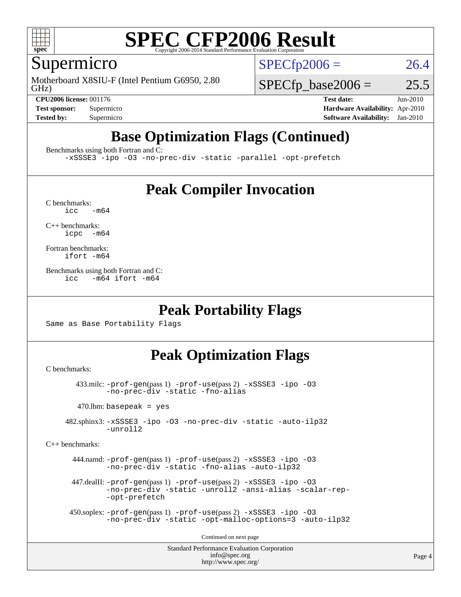

### Supermicro

GHz) Motherboard X8SIU-F (Intel Pentium G6950, 2.80  $SPECTp2006 = 26.4$ 

 $SPECTp\_base2006 = 25.5$ 

**[CPU2006 license:](http://www.spec.org/auto/cpu2006/Docs/result-fields.html#CPU2006license)** 001176 **[Test date:](http://www.spec.org/auto/cpu2006/Docs/result-fields.html#Testdate)** Jun-2010 **[Test sponsor:](http://www.spec.org/auto/cpu2006/Docs/result-fields.html#Testsponsor)** Supermicro **[Hardware Availability:](http://www.spec.org/auto/cpu2006/Docs/result-fields.html#HardwareAvailability)** Apr-2010 **[Tested by:](http://www.spec.org/auto/cpu2006/Docs/result-fields.html#Testedby)** Supermicro **[Software Availability:](http://www.spec.org/auto/cpu2006/Docs/result-fields.html#SoftwareAvailability)** Jan-2010

# **[Base Optimization Flags \(Continued\)](http://www.spec.org/auto/cpu2006/Docs/result-fields.html#BaseOptimizationFlags)**

[Benchmarks using both Fortran and C](http://www.spec.org/auto/cpu2006/Docs/result-fields.html#BenchmarksusingbothFortranandC):

[-xSSSE3](http://www.spec.org/cpu2006/results/res2010q3/cpu2006-20100621-11876.flags.html#user_CC_FCbase_f-xSSSE3) [-ipo](http://www.spec.org/cpu2006/results/res2010q3/cpu2006-20100621-11876.flags.html#user_CC_FCbase_f-ipo) [-O3](http://www.spec.org/cpu2006/results/res2010q3/cpu2006-20100621-11876.flags.html#user_CC_FCbase_f-O3) [-no-prec-div](http://www.spec.org/cpu2006/results/res2010q3/cpu2006-20100621-11876.flags.html#user_CC_FCbase_f-no-prec-div) [-static](http://www.spec.org/cpu2006/results/res2010q3/cpu2006-20100621-11876.flags.html#user_CC_FCbase_f-static) [-parallel](http://www.spec.org/cpu2006/results/res2010q3/cpu2006-20100621-11876.flags.html#user_CC_FCbase_f-parallel) [-opt-prefetch](http://www.spec.org/cpu2006/results/res2010q3/cpu2006-20100621-11876.flags.html#user_CC_FCbase_f-opt-prefetch)

### **[Peak Compiler Invocation](http://www.spec.org/auto/cpu2006/Docs/result-fields.html#PeakCompilerInvocation)**

 $C$  benchmarks:<br>icc  $-m64$ 

[C++ benchmarks:](http://www.spec.org/auto/cpu2006/Docs/result-fields.html#CXXbenchmarks) [icpc -m64](http://www.spec.org/cpu2006/results/res2010q3/cpu2006-20100621-11876.flags.html#user_CXXpeak_intel_icpc_64bit_bedb90c1146cab66620883ef4f41a67e)

[Fortran benchmarks](http://www.spec.org/auto/cpu2006/Docs/result-fields.html#Fortranbenchmarks): [ifort -m64](http://www.spec.org/cpu2006/results/res2010q3/cpu2006-20100621-11876.flags.html#user_FCpeak_intel_ifort_64bit_ee9d0fb25645d0210d97eb0527dcc06e)

[Benchmarks using both Fortran and C](http://www.spec.org/auto/cpu2006/Docs/result-fields.html#BenchmarksusingbothFortranandC): [icc -m64](http://www.spec.org/cpu2006/results/res2010q3/cpu2006-20100621-11876.flags.html#user_CC_FCpeak_intel_icc_64bit_0b7121f5ab7cfabee23d88897260401c) [ifort -m64](http://www.spec.org/cpu2006/results/res2010q3/cpu2006-20100621-11876.flags.html#user_CC_FCpeak_intel_ifort_64bit_ee9d0fb25645d0210d97eb0527dcc06e)

### **[Peak Portability Flags](http://www.spec.org/auto/cpu2006/Docs/result-fields.html#PeakPortabilityFlags)**

Same as Base Portability Flags

### **[Peak Optimization Flags](http://www.spec.org/auto/cpu2006/Docs/result-fields.html#PeakOptimizationFlags)**

[C benchmarks](http://www.spec.org/auto/cpu2006/Docs/result-fields.html#Cbenchmarks):

 433.milc: [-prof-gen](http://www.spec.org/cpu2006/results/res2010q3/cpu2006-20100621-11876.flags.html#user_peakPASS1_CFLAGSPASS1_LDFLAGS433_milc_prof_gen_e43856698f6ca7b7e442dfd80e94a8fc)(pass 1) [-prof-use](http://www.spec.org/cpu2006/results/res2010q3/cpu2006-20100621-11876.flags.html#user_peakPASS2_CFLAGSPASS2_LDFLAGS433_milc_prof_use_bccf7792157ff70d64e32fe3e1250b55)(pass 2) [-xSSSE3](http://www.spec.org/cpu2006/results/res2010q3/cpu2006-20100621-11876.flags.html#user_peakOPTIMIZE433_milc_f-xSSSE3) [-ipo](http://www.spec.org/cpu2006/results/res2010q3/cpu2006-20100621-11876.flags.html#user_peakOPTIMIZE433_milc_f-ipo) [-O3](http://www.spec.org/cpu2006/results/res2010q3/cpu2006-20100621-11876.flags.html#user_peakOPTIMIZE433_milc_f-O3) [-no-prec-div](http://www.spec.org/cpu2006/results/res2010q3/cpu2006-20100621-11876.flags.html#user_peakOPTIMIZE433_milc_f-no-prec-div) [-static](http://www.spec.org/cpu2006/results/res2010q3/cpu2006-20100621-11876.flags.html#user_peakOPTIMIZE433_milc_f-static) [-fno-alias](http://www.spec.org/cpu2006/results/res2010q3/cpu2006-20100621-11876.flags.html#user_peakOPTIMIZE433_milc_f-no-alias_694e77f6c5a51e658e82ccff53a9e63a)

 $470.$ lbm: basepeak = yes

 482.sphinx3: [-xSSSE3](http://www.spec.org/cpu2006/results/res2010q3/cpu2006-20100621-11876.flags.html#user_peakOPTIMIZE482_sphinx3_f-xSSSE3) [-ipo](http://www.spec.org/cpu2006/results/res2010q3/cpu2006-20100621-11876.flags.html#user_peakOPTIMIZE482_sphinx3_f-ipo) [-O3](http://www.spec.org/cpu2006/results/res2010q3/cpu2006-20100621-11876.flags.html#user_peakOPTIMIZE482_sphinx3_f-O3) [-no-prec-div](http://www.spec.org/cpu2006/results/res2010q3/cpu2006-20100621-11876.flags.html#user_peakOPTIMIZE482_sphinx3_f-no-prec-div) [-static](http://www.spec.org/cpu2006/results/res2010q3/cpu2006-20100621-11876.flags.html#user_peakOPTIMIZE482_sphinx3_f-static) [-auto-ilp32](http://www.spec.org/cpu2006/results/res2010q3/cpu2006-20100621-11876.flags.html#user_peakCOPTIMIZE482_sphinx3_f-auto-ilp32) [-unroll2](http://www.spec.org/cpu2006/results/res2010q3/cpu2006-20100621-11876.flags.html#user_peakCOPTIMIZE482_sphinx3_f-unroll_784dae83bebfb236979b41d2422d7ec2)

[C++ benchmarks:](http://www.spec.org/auto/cpu2006/Docs/result-fields.html#CXXbenchmarks)

 444.namd: [-prof-gen](http://www.spec.org/cpu2006/results/res2010q3/cpu2006-20100621-11876.flags.html#user_peakPASS1_CXXFLAGSPASS1_LDFLAGS444_namd_prof_gen_e43856698f6ca7b7e442dfd80e94a8fc)(pass 1) [-prof-use](http://www.spec.org/cpu2006/results/res2010q3/cpu2006-20100621-11876.flags.html#user_peakPASS2_CXXFLAGSPASS2_LDFLAGS444_namd_prof_use_bccf7792157ff70d64e32fe3e1250b55)(pass 2) [-xSSSE3](http://www.spec.org/cpu2006/results/res2010q3/cpu2006-20100621-11876.flags.html#user_peakCXXOPTIMIZEOPTIMIZE444_namd_f-xSSSE3) [-ipo](http://www.spec.org/cpu2006/results/res2010q3/cpu2006-20100621-11876.flags.html#user_peakCXXOPTIMIZEOPTIMIZE444_namd_f-ipo) [-O3](http://www.spec.org/cpu2006/results/res2010q3/cpu2006-20100621-11876.flags.html#user_peakCXXOPTIMIZEOPTIMIZE444_namd_f-O3) [-no-prec-div](http://www.spec.org/cpu2006/results/res2010q3/cpu2006-20100621-11876.flags.html#user_peakCXXOPTIMIZEOPTIMIZE444_namd_f-no-prec-div) [-static](http://www.spec.org/cpu2006/results/res2010q3/cpu2006-20100621-11876.flags.html#user_peakCXXOPTIMIZEOPTIMIZE444_namd_f-static) [-fno-alias](http://www.spec.org/cpu2006/results/res2010q3/cpu2006-20100621-11876.flags.html#user_peakCXXOPTIMIZE444_namd_f-no-alias_694e77f6c5a51e658e82ccff53a9e63a) [-auto-ilp32](http://www.spec.org/cpu2006/results/res2010q3/cpu2006-20100621-11876.flags.html#user_peakCXXOPTIMIZE444_namd_f-auto-ilp32)

 447.dealII: [-prof-gen](http://www.spec.org/cpu2006/results/res2010q3/cpu2006-20100621-11876.flags.html#user_peakPASS1_CXXFLAGSPASS1_LDFLAGS447_dealII_prof_gen_e43856698f6ca7b7e442dfd80e94a8fc)(pass 1) [-prof-use](http://www.spec.org/cpu2006/results/res2010q3/cpu2006-20100621-11876.flags.html#user_peakPASS2_CXXFLAGSPASS2_LDFLAGS447_dealII_prof_use_bccf7792157ff70d64e32fe3e1250b55)(pass 2) [-xSSSE3](http://www.spec.org/cpu2006/results/res2010q3/cpu2006-20100621-11876.flags.html#user_peakCXXOPTIMIZEOPTIMIZE447_dealII_f-xSSSE3) [-ipo](http://www.spec.org/cpu2006/results/res2010q3/cpu2006-20100621-11876.flags.html#user_peakCXXOPTIMIZEOPTIMIZE447_dealII_f-ipo) [-O3](http://www.spec.org/cpu2006/results/res2010q3/cpu2006-20100621-11876.flags.html#user_peakCXXOPTIMIZEOPTIMIZE447_dealII_f-O3) [-no-prec-div](http://www.spec.org/cpu2006/results/res2010q3/cpu2006-20100621-11876.flags.html#user_peakCXXOPTIMIZEOPTIMIZE447_dealII_f-no-prec-div) [-static](http://www.spec.org/cpu2006/results/res2010q3/cpu2006-20100621-11876.flags.html#user_peakCXXOPTIMIZEOPTIMIZE447_dealII_f-static) [-unroll2](http://www.spec.org/cpu2006/results/res2010q3/cpu2006-20100621-11876.flags.html#user_peakCXXOPTIMIZE447_dealII_f-unroll_784dae83bebfb236979b41d2422d7ec2) [-ansi-alias](http://www.spec.org/cpu2006/results/res2010q3/cpu2006-20100621-11876.flags.html#user_peakCXXOPTIMIZE447_dealII_f-ansi-alias) [-scalar-rep-](http://www.spec.org/cpu2006/results/res2010q3/cpu2006-20100621-11876.flags.html#user_peakCXXOPTIMIZE447_dealII_f-disablescalarrep_abbcad04450fb118e4809c81d83c8a1d) [-opt-prefetch](http://www.spec.org/cpu2006/results/res2010q3/cpu2006-20100621-11876.flags.html#user_peakCXXOPTIMIZE447_dealII_f-opt-prefetch)

```
 450.soplex: -prof-gen(pass 1) -prof-use(pass 2) -xSSSE3 -ipo -O3
-no-prec-div -static -opt-malloc-options=3 -auto-ilp32
```
Continued on next page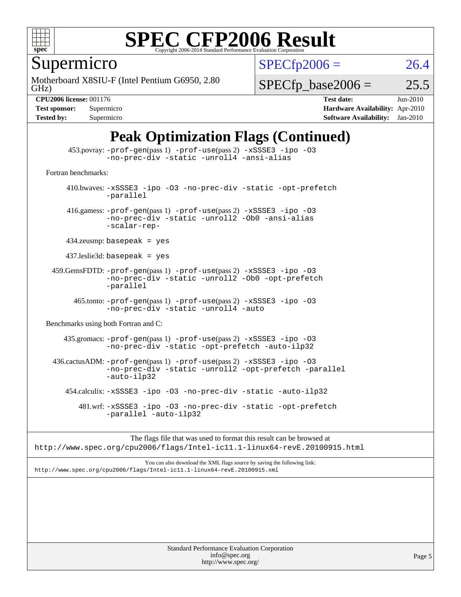

Supermicro

GHz) Motherboard X8SIU-F (Intel Pentium G6950, 2.80  $SPECTp2006 = 26.4$ 

 $SPECTp\_base2006 = 25.5$ 

**[CPU2006 license:](http://www.spec.org/auto/cpu2006/Docs/result-fields.html#CPU2006license)** 001176 **[Test date:](http://www.spec.org/auto/cpu2006/Docs/result-fields.html#Testdate)** Jun-2010 **[Test sponsor:](http://www.spec.org/auto/cpu2006/Docs/result-fields.html#Testsponsor)** Supermicro **[Hardware Availability:](http://www.spec.org/auto/cpu2006/Docs/result-fields.html#HardwareAvailability)** Apr-2010 **[Tested by:](http://www.spec.org/auto/cpu2006/Docs/result-fields.html#Testedby)** Supermicro **[Software Availability:](http://www.spec.org/auto/cpu2006/Docs/result-fields.html#SoftwareAvailability)** Jan-2010

### **[Peak Optimization Flags \(Continued\)](http://www.spec.org/auto/cpu2006/Docs/result-fields.html#PeakOptimizationFlags)**

 453.povray: [-prof-gen](http://www.spec.org/cpu2006/results/res2010q3/cpu2006-20100621-11876.flags.html#user_peakPASS1_CXXFLAGSPASS1_LDFLAGS453_povray_prof_gen_e43856698f6ca7b7e442dfd80e94a8fc)(pass 1) [-prof-use](http://www.spec.org/cpu2006/results/res2010q3/cpu2006-20100621-11876.flags.html#user_peakPASS2_CXXFLAGSPASS2_LDFLAGS453_povray_prof_use_bccf7792157ff70d64e32fe3e1250b55)(pass 2) [-xSSSE3](http://www.spec.org/cpu2006/results/res2010q3/cpu2006-20100621-11876.flags.html#user_peakCXXOPTIMIZEOPTIMIZE453_povray_f-xSSSE3) [-ipo](http://www.spec.org/cpu2006/results/res2010q3/cpu2006-20100621-11876.flags.html#user_peakCXXOPTIMIZEOPTIMIZE453_povray_f-ipo) [-O3](http://www.spec.org/cpu2006/results/res2010q3/cpu2006-20100621-11876.flags.html#user_peakCXXOPTIMIZEOPTIMIZE453_povray_f-O3) [-no-prec-div](http://www.spec.org/cpu2006/results/res2010q3/cpu2006-20100621-11876.flags.html#user_peakCXXOPTIMIZEOPTIMIZE453_povray_f-no-prec-div) [-static](http://www.spec.org/cpu2006/results/res2010q3/cpu2006-20100621-11876.flags.html#user_peakCXXOPTIMIZEOPTIMIZE453_povray_f-static) [-unroll4](http://www.spec.org/cpu2006/results/res2010q3/cpu2006-20100621-11876.flags.html#user_peakCXXOPTIMIZE453_povray_f-unroll_4e5e4ed65b7fd20bdcd365bec371b81f) [-ansi-alias](http://www.spec.org/cpu2006/results/res2010q3/cpu2006-20100621-11876.flags.html#user_peakCXXOPTIMIZE453_povray_f-ansi-alias) [Fortran benchmarks](http://www.spec.org/auto/cpu2006/Docs/result-fields.html#Fortranbenchmarks): 410.bwaves: [-xSSSE3](http://www.spec.org/cpu2006/results/res2010q3/cpu2006-20100621-11876.flags.html#user_peakOPTIMIZE410_bwaves_f-xSSSE3) [-ipo](http://www.spec.org/cpu2006/results/res2010q3/cpu2006-20100621-11876.flags.html#user_peakOPTIMIZE410_bwaves_f-ipo) [-O3](http://www.spec.org/cpu2006/results/res2010q3/cpu2006-20100621-11876.flags.html#user_peakOPTIMIZE410_bwaves_f-O3) [-no-prec-div](http://www.spec.org/cpu2006/results/res2010q3/cpu2006-20100621-11876.flags.html#user_peakOPTIMIZE410_bwaves_f-no-prec-div) [-static](http://www.spec.org/cpu2006/results/res2010q3/cpu2006-20100621-11876.flags.html#user_peakOPTIMIZE410_bwaves_f-static) [-opt-prefetch](http://www.spec.org/cpu2006/results/res2010q3/cpu2006-20100621-11876.flags.html#user_peakOPTIMIZE410_bwaves_f-opt-prefetch) [-parallel](http://www.spec.org/cpu2006/results/res2010q3/cpu2006-20100621-11876.flags.html#user_peakOPTIMIZE410_bwaves_f-parallel) 416.gamess: [-prof-gen](http://www.spec.org/cpu2006/results/res2010q3/cpu2006-20100621-11876.flags.html#user_peakPASS1_FFLAGSPASS1_LDFLAGS416_gamess_prof_gen_e43856698f6ca7b7e442dfd80e94a8fc)(pass 1) [-prof-use](http://www.spec.org/cpu2006/results/res2010q3/cpu2006-20100621-11876.flags.html#user_peakPASS2_FFLAGSPASS2_LDFLAGS416_gamess_prof_use_bccf7792157ff70d64e32fe3e1250b55)(pass 2) [-xSSSE3](http://www.spec.org/cpu2006/results/res2010q3/cpu2006-20100621-11876.flags.html#user_peakOPTIMIZE416_gamess_f-xSSSE3) [-ipo](http://www.spec.org/cpu2006/results/res2010q3/cpu2006-20100621-11876.flags.html#user_peakOPTIMIZE416_gamess_f-ipo) [-O3](http://www.spec.org/cpu2006/results/res2010q3/cpu2006-20100621-11876.flags.html#user_peakOPTIMIZE416_gamess_f-O3) [-no-prec-div](http://www.spec.org/cpu2006/results/res2010q3/cpu2006-20100621-11876.flags.html#user_peakOPTIMIZE416_gamess_f-no-prec-div) [-static](http://www.spec.org/cpu2006/results/res2010q3/cpu2006-20100621-11876.flags.html#user_peakOPTIMIZE416_gamess_f-static) [-unroll2](http://www.spec.org/cpu2006/results/res2010q3/cpu2006-20100621-11876.flags.html#user_peakOPTIMIZE416_gamess_f-unroll_784dae83bebfb236979b41d2422d7ec2) [-Ob0](http://www.spec.org/cpu2006/results/res2010q3/cpu2006-20100621-11876.flags.html#user_peakOPTIMIZE416_gamess_f-Ob_n_fbe6f6428adb7d4b74b1e99bb2444c2d) [-ansi-alias](http://www.spec.org/cpu2006/results/res2010q3/cpu2006-20100621-11876.flags.html#user_peakOPTIMIZE416_gamess_f-ansi-alias) [-scalar-rep-](http://www.spec.org/cpu2006/results/res2010q3/cpu2006-20100621-11876.flags.html#user_peakOPTIMIZE416_gamess_f-disablescalarrep_abbcad04450fb118e4809c81d83c8a1d) 434.zeusmp: basepeak = yes 437.leslie3d: basepeak = yes 459.GemsFDTD: [-prof-gen](http://www.spec.org/cpu2006/results/res2010q3/cpu2006-20100621-11876.flags.html#user_peakPASS1_FFLAGSPASS1_LDFLAGS459_GemsFDTD_prof_gen_e43856698f6ca7b7e442dfd80e94a8fc)(pass 1) [-prof-use](http://www.spec.org/cpu2006/results/res2010q3/cpu2006-20100621-11876.flags.html#user_peakPASS2_FFLAGSPASS2_LDFLAGS459_GemsFDTD_prof_use_bccf7792157ff70d64e32fe3e1250b55)(pass 2) [-xSSSE3](http://www.spec.org/cpu2006/results/res2010q3/cpu2006-20100621-11876.flags.html#user_peakOPTIMIZE459_GemsFDTD_f-xSSSE3) [-ipo](http://www.spec.org/cpu2006/results/res2010q3/cpu2006-20100621-11876.flags.html#user_peakOPTIMIZE459_GemsFDTD_f-ipo) [-O3](http://www.spec.org/cpu2006/results/res2010q3/cpu2006-20100621-11876.flags.html#user_peakOPTIMIZE459_GemsFDTD_f-O3) [-no-prec-div](http://www.spec.org/cpu2006/results/res2010q3/cpu2006-20100621-11876.flags.html#user_peakOPTIMIZE459_GemsFDTD_f-no-prec-div) [-static](http://www.spec.org/cpu2006/results/res2010q3/cpu2006-20100621-11876.flags.html#user_peakOPTIMIZE459_GemsFDTD_f-static) [-unroll2](http://www.spec.org/cpu2006/results/res2010q3/cpu2006-20100621-11876.flags.html#user_peakOPTIMIZE459_GemsFDTD_f-unroll_784dae83bebfb236979b41d2422d7ec2) [-Ob0](http://www.spec.org/cpu2006/results/res2010q3/cpu2006-20100621-11876.flags.html#user_peakOPTIMIZE459_GemsFDTD_f-Ob_n_fbe6f6428adb7d4b74b1e99bb2444c2d) [-opt-prefetch](http://www.spec.org/cpu2006/results/res2010q3/cpu2006-20100621-11876.flags.html#user_peakOPTIMIZE459_GemsFDTD_f-opt-prefetch) [-parallel](http://www.spec.org/cpu2006/results/res2010q3/cpu2006-20100621-11876.flags.html#user_peakOPTIMIZE459_GemsFDTD_f-parallel) 465.tonto: [-prof-gen](http://www.spec.org/cpu2006/results/res2010q3/cpu2006-20100621-11876.flags.html#user_peakPASS1_FFLAGSPASS1_LDFLAGS465_tonto_prof_gen_e43856698f6ca7b7e442dfd80e94a8fc)(pass 1) [-prof-use](http://www.spec.org/cpu2006/results/res2010q3/cpu2006-20100621-11876.flags.html#user_peakPASS2_FFLAGSPASS2_LDFLAGS465_tonto_prof_use_bccf7792157ff70d64e32fe3e1250b55)(pass 2) [-xSSSE3](http://www.spec.org/cpu2006/results/res2010q3/cpu2006-20100621-11876.flags.html#user_peakOPTIMIZE465_tonto_f-xSSSE3) [-ipo](http://www.spec.org/cpu2006/results/res2010q3/cpu2006-20100621-11876.flags.html#user_peakOPTIMIZE465_tonto_f-ipo) [-O3](http://www.spec.org/cpu2006/results/res2010q3/cpu2006-20100621-11876.flags.html#user_peakOPTIMIZE465_tonto_f-O3) [-no-prec-div](http://www.spec.org/cpu2006/results/res2010q3/cpu2006-20100621-11876.flags.html#user_peakOPTIMIZE465_tonto_f-no-prec-div) [-static](http://www.spec.org/cpu2006/results/res2010q3/cpu2006-20100621-11876.flags.html#user_peakOPTIMIZE465_tonto_f-static) [-unroll4](http://www.spec.org/cpu2006/results/res2010q3/cpu2006-20100621-11876.flags.html#user_peakOPTIMIZE465_tonto_f-unroll_4e5e4ed65b7fd20bdcd365bec371b81f) [-auto](http://www.spec.org/cpu2006/results/res2010q3/cpu2006-20100621-11876.flags.html#user_peakOPTIMIZE465_tonto_f-auto) [Benchmarks using both Fortran and C](http://www.spec.org/auto/cpu2006/Docs/result-fields.html#BenchmarksusingbothFortranandC): 435.gromacs: [-prof-gen](http://www.spec.org/cpu2006/results/res2010q3/cpu2006-20100621-11876.flags.html#user_peakPASS1_CFLAGSPASS1_FFLAGSPASS1_LDFLAGS435_gromacs_prof_gen_e43856698f6ca7b7e442dfd80e94a8fc)(pass 1) [-prof-use](http://www.spec.org/cpu2006/results/res2010q3/cpu2006-20100621-11876.flags.html#user_peakPASS2_CFLAGSPASS2_FFLAGSPASS2_LDFLAGS435_gromacs_prof_use_bccf7792157ff70d64e32fe3e1250b55)(pass 2) [-xSSSE3](http://www.spec.org/cpu2006/results/res2010q3/cpu2006-20100621-11876.flags.html#user_peakOPTIMIZE435_gromacs_f-xSSSE3) [-ipo](http://www.spec.org/cpu2006/results/res2010q3/cpu2006-20100621-11876.flags.html#user_peakOPTIMIZE435_gromacs_f-ipo) [-O3](http://www.spec.org/cpu2006/results/res2010q3/cpu2006-20100621-11876.flags.html#user_peakOPTIMIZE435_gromacs_f-O3) [-no-prec-div](http://www.spec.org/cpu2006/results/res2010q3/cpu2006-20100621-11876.flags.html#user_peakOPTIMIZE435_gromacs_f-no-prec-div) [-static](http://www.spec.org/cpu2006/results/res2010q3/cpu2006-20100621-11876.flags.html#user_peakOPTIMIZE435_gromacs_f-static) [-opt-prefetch](http://www.spec.org/cpu2006/results/res2010q3/cpu2006-20100621-11876.flags.html#user_peakOPTIMIZE435_gromacs_f-opt-prefetch) [-auto-ilp32](http://www.spec.org/cpu2006/results/res2010q3/cpu2006-20100621-11876.flags.html#user_peakCOPTIMIZE435_gromacs_f-auto-ilp32) 436.cactusADM: [-prof-gen](http://www.spec.org/cpu2006/results/res2010q3/cpu2006-20100621-11876.flags.html#user_peakPASS1_CFLAGSPASS1_FFLAGSPASS1_LDFLAGS436_cactusADM_prof_gen_e43856698f6ca7b7e442dfd80e94a8fc)(pass 1) [-prof-use](http://www.spec.org/cpu2006/results/res2010q3/cpu2006-20100621-11876.flags.html#user_peakPASS2_CFLAGSPASS2_FFLAGSPASS2_LDFLAGS436_cactusADM_prof_use_bccf7792157ff70d64e32fe3e1250b55)(pass 2) [-xSSSE3](http://www.spec.org/cpu2006/results/res2010q3/cpu2006-20100621-11876.flags.html#user_peakOPTIMIZE436_cactusADM_f-xSSSE3) [-ipo](http://www.spec.org/cpu2006/results/res2010q3/cpu2006-20100621-11876.flags.html#user_peakOPTIMIZE436_cactusADM_f-ipo) [-O3](http://www.spec.org/cpu2006/results/res2010q3/cpu2006-20100621-11876.flags.html#user_peakOPTIMIZE436_cactusADM_f-O3) [-no-prec-div](http://www.spec.org/cpu2006/results/res2010q3/cpu2006-20100621-11876.flags.html#user_peakOPTIMIZE436_cactusADM_f-no-prec-div) [-static](http://www.spec.org/cpu2006/results/res2010q3/cpu2006-20100621-11876.flags.html#user_peakOPTIMIZE436_cactusADM_f-static) [-unroll2](http://www.spec.org/cpu2006/results/res2010q3/cpu2006-20100621-11876.flags.html#user_peakOPTIMIZE436_cactusADM_f-unroll_784dae83bebfb236979b41d2422d7ec2) [-opt-prefetch](http://www.spec.org/cpu2006/results/res2010q3/cpu2006-20100621-11876.flags.html#user_peakOPTIMIZE436_cactusADM_f-opt-prefetch) [-parallel](http://www.spec.org/cpu2006/results/res2010q3/cpu2006-20100621-11876.flags.html#user_peakOPTIMIZE436_cactusADM_f-parallel) [-auto-ilp32](http://www.spec.org/cpu2006/results/res2010q3/cpu2006-20100621-11876.flags.html#user_peakCOPTIMIZE436_cactusADM_f-auto-ilp32) 454.calculix: [-xSSSE3](http://www.spec.org/cpu2006/results/res2010q3/cpu2006-20100621-11876.flags.html#user_peakOPTIMIZE454_calculix_f-xSSSE3) [-ipo](http://www.spec.org/cpu2006/results/res2010q3/cpu2006-20100621-11876.flags.html#user_peakOPTIMIZE454_calculix_f-ipo) [-O3](http://www.spec.org/cpu2006/results/res2010q3/cpu2006-20100621-11876.flags.html#user_peakOPTIMIZE454_calculix_f-O3) [-no-prec-div](http://www.spec.org/cpu2006/results/res2010q3/cpu2006-20100621-11876.flags.html#user_peakOPTIMIZE454_calculix_f-no-prec-div) [-static](http://www.spec.org/cpu2006/results/res2010q3/cpu2006-20100621-11876.flags.html#user_peakOPTIMIZE454_calculix_f-static) [-auto-ilp32](http://www.spec.org/cpu2006/results/res2010q3/cpu2006-20100621-11876.flags.html#user_peakCOPTIMIZE454_calculix_f-auto-ilp32) 481.wrf: [-xSSSE3](http://www.spec.org/cpu2006/results/res2010q3/cpu2006-20100621-11876.flags.html#user_peakOPTIMIZE481_wrf_f-xSSSE3) [-ipo](http://www.spec.org/cpu2006/results/res2010q3/cpu2006-20100621-11876.flags.html#user_peakOPTIMIZE481_wrf_f-ipo) [-O3](http://www.spec.org/cpu2006/results/res2010q3/cpu2006-20100621-11876.flags.html#user_peakOPTIMIZE481_wrf_f-O3) [-no-prec-div](http://www.spec.org/cpu2006/results/res2010q3/cpu2006-20100621-11876.flags.html#user_peakOPTIMIZE481_wrf_f-no-prec-div) [-static](http://www.spec.org/cpu2006/results/res2010q3/cpu2006-20100621-11876.flags.html#user_peakOPTIMIZE481_wrf_f-static) [-opt-prefetch](http://www.spec.org/cpu2006/results/res2010q3/cpu2006-20100621-11876.flags.html#user_peakOPTIMIZE481_wrf_f-opt-prefetch) [-parallel](http://www.spec.org/cpu2006/results/res2010q3/cpu2006-20100621-11876.flags.html#user_peakOPTIMIZE481_wrf_f-parallel) [-auto-ilp32](http://www.spec.org/cpu2006/results/res2010q3/cpu2006-20100621-11876.flags.html#user_peakCOPTIMIZE481_wrf_f-auto-ilp32)

The flags file that was used to format this result can be browsed at <http://www.spec.org/cpu2006/flags/Intel-ic11.1-linux64-revE.20100915.html>

You can also download the XML flags source by saving the following link: <http://www.spec.org/cpu2006/flags/Intel-ic11.1-linux64-revE.20100915.xml>